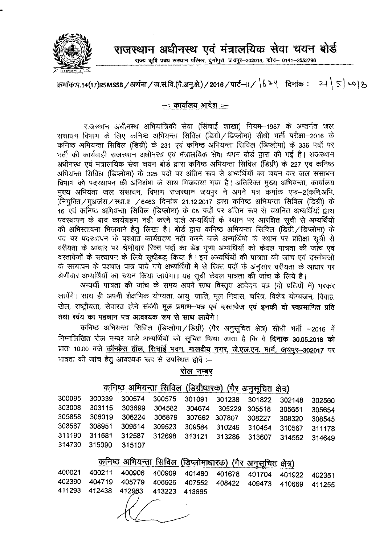

राजस्थान अधीनस्थ एवं मंत्रालयिक सेवा चयन बोर्ड

राज्य कृषि प्रबंध संस्थान परिसर, दुर्गापुरा, जयपुर-302018, फोन- 0141-2552796

## क्रमांक:प.14(17)RSMSSB / अर्थना / ज.सं.वि.(गै.अनु.क्षे.) / 2016 / पार्ट-II /  $\, \vert \, \delta$  2  $\,$  | त्विनांक : 21  $\, \vert \,$  5  $\,$  20  $\,$  8

--:: कार्यालय आदेश ::--

राजस्थान अधीनस्थ अभियांत्रिकी सेवा (सिंचाई शाखा) नियम–1967 के अन्तर्गत जल संसाधन विभाग के लिए कनिष्ठ अभियन्ता सिविल (डिग्री / डिप्लोमा) सीधी भर्ती परीक्षा-2016 के कनिष्ठ अभियन्ता सिविल (डिग्री) के 231 एवं कनिष्ठ अभियन्ता सिविल (डिप्लोमा) के 336 पदों पर भर्ती की कार्यवाही राजस्थान अधीनस्थ एवं मंत्रालयिक सेवा चयन बोर्ड द्वारा की गई है। राजस्थान अधीनस्थ एवं मंत्रालयिक सेवा चयन बोर्ड द्वारा कनिष्ठ अभियन्ता सिविल (डिग्री) के 227 एवं कनिष्ठ अभियन्ता सिविल (डिप्लोमा) के 325 पदों पर अंतिम रूप से अभ्यर्थियों का चयन कर जल संसाधन <u>विभाग को पदस्थापन की अभिशंषा के साथ भिजवाया गया है। अतिरिक्त मुख्य अभियन्ता, कार्यालय</u> मुख्य अभियंता जल संसाधन, विभाग राजस्थान जयपुर ने अपने पत्र क्रमांक एफ–2(कनि.अभि. )नियक्ति/मुअजंस/स्था.॥ /6463 दिनांक 21.12.2017 द्वारा कनिष्ठ अभियन्ता सिविल (डिग्री) के 16 एवं कनिष्ठ अभियन्ता सिविल (डिप्लोमा) के 08 पदों पर अंतिम रूप से चयनित अभ्यर्थियों द्वारा पदस्थापन के बाद कार्यग्रहण नहीं करने वाले अभ्यर्थियों के स्थान पर आरक्षित सूची से अभ्यर्थियों की अभिस्तावना भिजवाने हेतू लिखा है। बोर्ड द्वारा कनिष्ठ अभियन्ता सिविल (डिग्री / डिप्लोमा) के पद पर पदस्थापन के पश्चात कार्यग्रहण नही करने वाले अभ्यर्थियों के स्थान पर प्रतिक्षा सूची से वरीयता के आधार पर श्रेणीवार रिक्त पदों का डेढ गूणा अभ्यर्थियों को केवल पात्रता की जांच एवं दस्तावेजों के सत्यापन के लिये सूचीबद्ध किया है। इन अभ्यर्थियों की पात्रता की जांच एवं दस्तोवजो के सत्यापन के पश्चात पात्र पाये गये अभ्यर्थियों मे से रिक्त पदों के अनुसार वरीयता के आधार पर श्रेणीवार अभ्यर्थियों का चयन किया जायेगा। यह सूची केवल पात्रता की जांच के लिये है।

अभ्यर्थी पात्रता की जांच के समय अपने साथ विस्तृत आवेदन पत्र (दो प्रतियों में) भरकर लायेंगे। साथ ही अपनी शैक्षणिक योग्यता, आयु, जाति, मूल निवास, चरित्र, विशेष योग्यजन, विवाह, खेल, राष्ट्रीयता, सेवारत होने संबंधी **मूल प्रमाण—पत्र एवं दस्तावेज एवं इनकी दो स्वप्रमाणित प्रति** तथा स्वंय का पहचान पत्र आवश्यक रूप से साथ लायेंगे।

कनिष्ठ अभियन्ता सिविल (डिप्लोमा/डिग्री) (गैर अनुसूचित क्षेत्र) सीधी भर्ती -2016 में निम्नलिखित रोल नम्बर वाले अभ्यर्थियों को सूचित किया जाता है कि वे **दिनांक 30.05.2018 को** प्रातः 10.00 बजे <u>कॉन्फ्रेस हॉल, सिचाई भवन, मालवीय नगर, जे.एल.एन. मार्ग, जयपुर-302017</u> पर पात्रता की जांच हेतु आवश्यक रूप से उपस्थित होवें :-

रोल नम्बर

## कनिष्ठ अभियन्ता सिविल (डिग्रीधारक) (गैर अनुसचित क्षेत्र)

|  | 314730 315090 315107 |  |  |  |  | 300095 300339 300574 300575 301091 301238 301822 302148 302560<br>303008 303115 303699 304582 304674 305229 305518 305651 305654<br>305858 306019 306224 306879 307662 307807 308227 308320 308545<br>308587 308951 309514 309523 309584 310249 310454 310567 311178<br>311190 311681 312587 312698 313121 313286 313607 314552 314649 |
|--|----------------------|--|--|--|--|----------------------------------------------------------------------------------------------------------------------------------------------------------------------------------------------------------------------------------------------------------------------------------------------------------------------------------------|

## <u>कनिष्ठ अ</u>भियन्ता सिविल (डिप्लोमाधारक) (गैर अनसचित क्षेत्र)

|  | 400021 400211 400906 400909 401480 401678 401704 401922 402351 |  |  |  |  |  |  |  |
|--|----------------------------------------------------------------|--|--|--|--|--|--|--|
|  | 402390 404719 405779 406926 407552 408422 409473 410669 411255 |  |  |  |  |  |  |  |
|  | 411293 412438 412963 413223 413865                             |  |  |  |  |  |  |  |